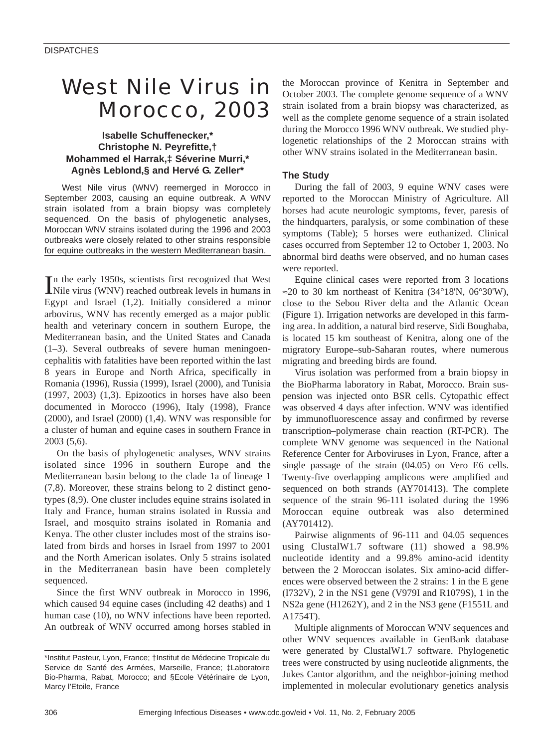# West Nile Virus in Morocco, 2003

## **Isabelle Schuffenecker,\* Christophe N. Peyrefitte,† Mohammed el Harrak,‡ Séverine Murri,\* Agnès Leblond,§ and Hervé G. Zeller\***

West Nile virus (WNV) reemerged in Morocco in September 2003, causing an equine outbreak. A WNV strain isolated from a brain biopsy was completely sequenced. On the basis of phylogenetic analyses, Moroccan WNV strains isolated during the 1996 and 2003 outbreaks were closely related to other strains responsible for equine outbreaks in the western Mediterranean basin.

In the early 1950s, scientists first recognized that West<br>Nile virus (WNV) reached outbreak levels in humans in n the early 1950s, scientists first recognized that West Egypt and Israel (1,2). Initially considered a minor arbovirus, WNV has recently emerged as a major public health and veterinary concern in southern Europe, the Mediterranean basin, and the United States and Canada (1–3). Several outbreaks of severe human meningoencephalitis with fatalities have been reported within the last 8 years in Europe and North Africa, specifically in Romania (1996), Russia (1999), Israel (2000), and Tunisia (1997, 2003) (1,3). Epizootics in horses have also been documented in Morocco (1996), Italy (1998), France (2000), and Israel (2000) (1,4). WNV was responsible for a cluster of human and equine cases in southern France in 2003 (5,6).

On the basis of phylogenetic analyses, WNV strains isolated since 1996 in southern Europe and the Mediterranean basin belong to the clade 1a of lineage 1 (7,8). Moreover, these strains belong to 2 distinct genotypes (8,9). One cluster includes equine strains isolated in Italy and France, human strains isolated in Russia and Israel, and mosquito strains isolated in Romania and Kenya. The other cluster includes most of the strains isolated from birds and horses in Israel from 1997 to 2001 and the North American isolates. Only 5 strains isolated in the Mediterranean basin have been completely sequenced.

Since the first WNV outbreak in Morocco in 1996, which caused 94 equine cases (including 42 deaths) and 1 human case (10), no WNV infections have been reported. An outbreak of WNV occurred among horses stabled in the Moroccan province of Kenitra in September and October 2003. The complete genome sequence of a WNV strain isolated from a brain biopsy was characterized, as well as the complete genome sequence of a strain isolated during the Morocco 1996 WNV outbreak. We studied phylogenetic relationships of the 2 Moroccan strains with other WNV strains isolated in the Mediterranean basin.

## **The Study**

During the fall of 2003, 9 equine WNV cases were reported to the Moroccan Ministry of Agriculture. All horses had acute neurologic symptoms, fever, paresis of the hindquarters, paralysis, or some combination of these symptoms (Table); 5 horses were euthanized. Clinical cases occurred from September 12 to October 1, 2003. No abnormal bird deaths were observed, and no human cases were reported.

Equine clinical cases were reported from 3 locations  $\approx$ 20 to 30 km northeast of Kenitra (34°18'N, 06°30'W), close to the Sebou River delta and the Atlantic Ocean (Figure 1). Irrigation networks are developed in this farming area. In addition, a natural bird reserve, Sidi Boughaba, is located 15 km southeast of Kenitra, along one of the migratory Europe–sub-Saharan routes, where numerous migrating and breeding birds are found.

Virus isolation was performed from a brain biopsy in the BioPharma laboratory in Rabat, Morocco. Brain suspension was injected onto BSR cells. Cytopathic effect was observed 4 days after infection. WNV was identified by immunofluorescence assay and confirmed by reverse transcription–polymerase chain reaction (RT-PCR). The complete WNV genome was sequenced in the National Reference Center for Arboviruses in Lyon, France, after a single passage of the strain (04.05) on Vero E6 cells. Twenty-five overlapping amplicons were amplified and sequenced on both strands (AY701413). The complete sequence of the strain 96-111 isolated during the 1996 Moroccan equine outbreak was also determined (AY701412).

Pairwise alignments of 96-111 and 04.05 sequences using ClustalW1.7 software (11) showed a 98.9% nucleotide identity and a 99.8% amino-acid identity between the 2 Moroccan isolates. Six amino-acid differences were observed between the 2 strains: 1 in the E gene (I732V), 2 in the NS1 gene (V979I and R1079S), 1 in the NS2a gene (H1262Y), and 2 in the NS3 gene (F1551L and A1754T).

Multiple alignments of Moroccan WNV sequences and other WNV sequences available in GenBank database were generated by ClustalW1.7 software. Phylogenetic trees were constructed by using nucleotide alignments, the Jukes Cantor algorithm, and the neighbor-joining method implemented in molecular evolutionary genetics analysis

<sup>\*</sup>Institut Pasteur, Lyon, France; †Institut de Médecine Tropicale du Service de Santé des Armées, Marseille, France; ‡Laboratoire Bio-Pharma, Rabat, Morocco; and §Ecole Vétérinaire de Lyon, Marcy l'Etoile, France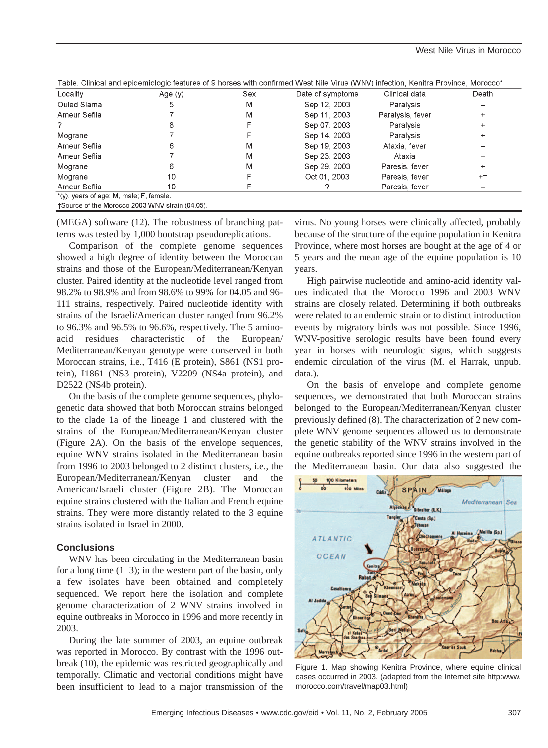| ∟ocalit∨     | Age (y) | Sex        | Date of symptoms | Clinical data    | Death                    |  |  |
|--------------|---------|------------|------------------|------------------|--------------------------|--|--|
| Ouled Slama  |         | M          | Sep 12, 2003     | Paralysis        | $\overline{\phantom{a}}$ |  |  |
| Ameur Seflia |         | <b>IVI</b> | 2003<br>Sep 11   | Paralysis, fever |                          |  |  |

|  |  |  |  | "able. Clinical and epidemiologic features of 9 horses with confirmed West Nile Virus (WNV) infection, Kenitra Province, Morocco* |  |  |  |  |  |
|--|--|--|--|-----------------------------------------------------------------------------------------------------------------------------------|--|--|--|--|--|
|  |  |  |  |                                                                                                                                   |  |  |  |  |  |

| LUCAIILY                                | Hye (y)                                        | <b>ORX</b> | Date of Sylliptonis | ∪ill li∪di udld  | Deau |
|-----------------------------------------|------------------------------------------------|------------|---------------------|------------------|------|
| Ouled Slama                             |                                                | M          | Sep 12, 2003        | Paralysis        |      |
| Ameur Seflia                            |                                                | M          | Sep 11, 2003        | Paralysis, fever |      |
|                                         |                                                |            | Sep 07, 2003        | Paralysis        |      |
| Mograne                                 |                                                |            | Sep 14, 2003        | Paralysis        |      |
| Ameur Seflia                            |                                                | M          | Sep 19, 2003        | Ataxia, fever    |      |
| Ameur Seflia                            |                                                | M          | Sep 23, 2003        | Ataxia           |      |
| Mograne                                 | 6                                              | M          | Sep 29, 2003        | Paresis, fever   |      |
| Mograne                                 | 10                                             |            | Oct 01, 2003        | Paresis, fever   | +1   |
| Ameur Seflia                            | 10                                             |            |                     | Paresis, fever   |      |
| *(y), years of age; M, male; F, female. |                                                |            |                     |                  |      |
|                                         | +Source of the Morocco 2003 WNV strain (04.05) |            |                     |                  |      |

(MEGA) software (12). The robustness of branching patterns was tested by 1,000 bootstrap pseudoreplications.

Comparison of the complete genome sequences showed a high degree of identity between the Moroccan strains and those of the European/Mediterranean/Kenyan cluster. Paired identity at the nucleotide level ranged from 98.2% to 98.9% and from 98.6% to 99% for 04.05 and 96- 111 strains, respectively. Paired nucleotide identity with strains of the Israeli/American cluster ranged from 96.2% to 96.3% and 96.5% to 96.6%, respectively. The 5 aminoacid residues characteristic of the European/ Mediterranean/Kenyan genotype were conserved in both Moroccan strains, i.e., T416 (E protein), S861 (NS1 protein), I1861 (NS3 protein), V2209 (NS4a protein), and D2522 (NS4b protein).

On the basis of the complete genome sequences, phylogenetic data showed that both Moroccan strains belonged to the clade 1a of the lineage 1 and clustered with the strains of the European/Mediterranean/Kenyan cluster (Figure 2A). On the basis of the envelope sequences, equine WNV strains isolated in the Mediterranean basin from 1996 to 2003 belonged to 2 distinct clusters, i.e., the European/Mediterranean/Kenyan cluster and the American/Israeli cluster (Figure 2B). The Moroccan equine strains clustered with the Italian and French equine strains. They were more distantly related to the 3 equine strains isolated in Israel in 2000.

## **Conclusions**

WNV has been circulating in the Mediterranean basin for a long time  $(1-3)$ ; in the western part of the basin, only a few isolates have been obtained and completely sequenced. We report here the isolation and complete genome characterization of 2 WNV strains involved in equine outbreaks in Morocco in 1996 and more recently in 2003.

During the late summer of 2003, an equine outbreak was reported in Morocco. By contrast with the 1996 outbreak (10), the epidemic was restricted geographically and temporally. Climatic and vectorial conditions might have been insufficient to lead to a major transmission of the

virus. No young horses were clinically affected, probably because of the structure of the equine population in Kenitra Province, where most horses are bought at the age of 4 or 5 years and the mean age of the equine population is 10 years.

High pairwise nucleotide and amino-acid identity values indicated that the Morocco 1996 and 2003 WNV strains are closely related. Determining if both outbreaks were related to an endemic strain or to distinct introduction events by migratory birds was not possible. Since 1996, WNV-positive serologic results have been found every year in horses with neurologic signs, which suggests endemic circulation of the virus (M. el Harrak, unpub. data.).

On the basis of envelope and complete genome sequences, we demonstrated that both Moroccan strains belonged to the European/Mediterranean/Kenyan cluster previously defined (8). The characterization of 2 new complete WNV genome sequences allowed us to demonstrate the genetic stability of the WNV strains involved in the equine outbreaks reported since 1996 in the western part of the Mediterranean basin. Our data also suggested the



Figure 1. Map showing Kenitra Province, where equine clinical cases occurred in 2003. (adapted from the Internet site http:www. morocco.com/travel/map03.html)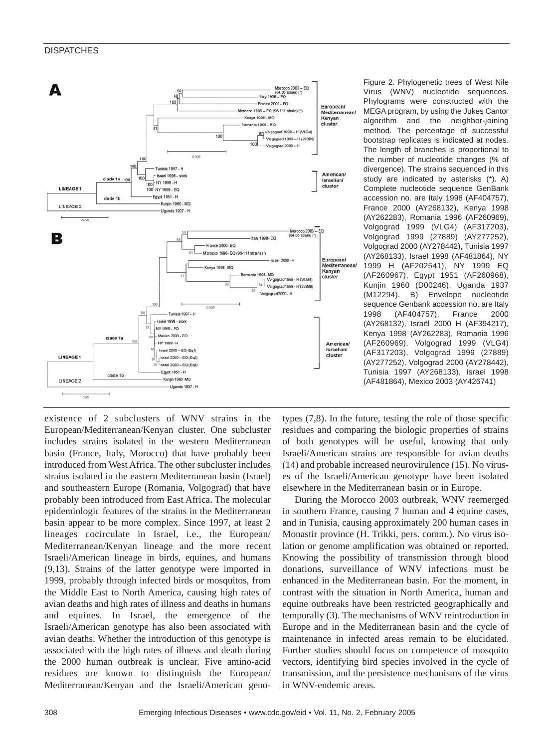### **DISPATCHES**



Figure 2. Phylogenetic trees of West Nile Virus (WNV) nucleotide sequences. Phylograms were constructed with the MEGA program, by using the Jukes Cantor algorithm and the neighbor-joining method. The percentage of successful bootstrap replicates is indicated at nodes. The length of branches is proportional to the number of nucleotide changes (% of divergence). The strains sequenced in this study are indicated by asterisks (\*). A) Complete nucleotide sequence GenBank accession no. are Italy 1998 (AF404757), France 2000 (AY268132), Kenya 1998 (AY262283), Romania 1996 (AF260969), Volgograd 1999 (VLG4) (AF317203), Volgograd 1999 (27889) (AY277252), Volgograd 2000 (AY278442), Tunisia 1997 (AY268133), Israel 1998 (AF481864), NY 1999 H (AF202541), NY 1999 EQ (AF260967), Egypt 1951 (AF260968), Kunjin 1960 (D00246), Uganda 1937 (M12294). B) Envelope nucleotide sequence Genbank accession no. are Italy 1998 (AF404757), France 2000 (AY268132), Israël 2000 H (AF394217), Kenya 1998 (AY262283), Romania 1996 (AF260969), Volgograd 1999 (VLG4) (AF317203), Volgograd 1999 (27889) (AY277252), Volgograd 2000 (AY278442), Tunisia 1997 (AY268133), Israel 1998 (AF481864), Mexico 2003 (AY426741)

existence of 2 subclusters of WNV strains in the European/Mediterranean/Kenyan cluster. One subcluster includes strains isolated in the western Mediterranean basin (France, Italy, Morocco) that have probably been introduced from West Africa. The other subcluster includes strains isolated in the eastern Mediterranean basin (Israel) and southeastern Europe (Romania, Volgograd) that have probably been introduced from East Africa. The molecular epidemiologic features of the strains in the Mediterranean basin appear to be more complex. Since 1997, at least 2 lineages cocirculate in Israel, i.e., the European/ Mediterranean/Kenyan lineage and the more recent Israeli/American lineage in birds, equines, and humans (9,13). Strains of the latter genotype were imported in 1999, probably through infected birds or mosquitos, from the Middle East to North America, causing high rates of avian deaths and high rates of illness and deaths in humans and equines. In Israel, the emergence of the Israeli/American genotype has also been associated with avian deaths. Whether the introduction of this genotype is associated with the high rates of illness and death during the 2000 human outbreak is unclear. Five amino-acid residues are known to distinguish the European/ Mediterranean/Kenyan and the Israeli/American genotypes (7,8). In the future, testing the role of those specific residues and comparing the biologic properties of strains of both genotypes will be useful, knowing that only Israeli/American strains are responsible for avian deaths (14) and probable increased neurovirulence (15). No viruses of the Israeli/American genotype have been isolated elsewhere in the Mediterranean basin or in Europe.

During the Morocco 2003 outbreak, WNV reemerged in southern France, causing 7 human and 4 equine cases, and in Tunisia, causing approximately 200 human cases in Monastir province (H. Trikki, pers. comm.). No virus isolation or genome amplification was obtained or reported. Knowing the possibility of transmission through blood donations, surveillance of WNV infections must be enhanced in the Mediterranean basin. For the moment, in contrast with the situation in North America, human and equine outbreaks have been restricted geographically and temporally (3). The mechanisms of WNV reintroduction in Europe and in the Mediterranean basin and the cycle of maintenance in infected areas remain to be elucidated. Further studies should focus on competence of mosquito vectors, identifying bird species involved in the cycle of transmission, and the persistence mechanisms of the virus in WNV-endemic areas.